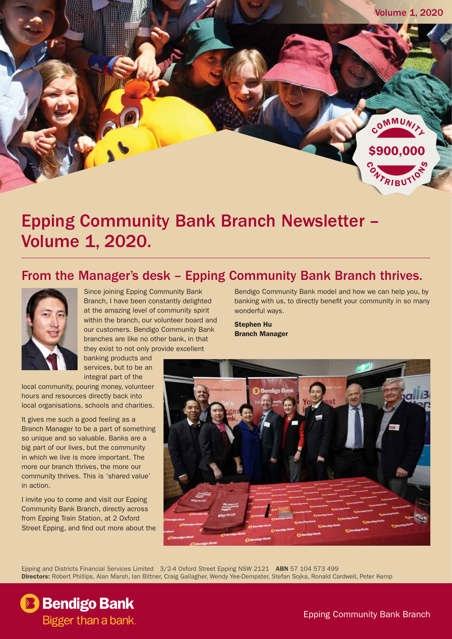

## Epping Community Bank Branch Newsletter – Volume 1, 2020.

## From the Manager's desk – Epping Community Bank Branch thrives.



Since joining Epping Community Bank Branch, I have been constantly delighted at the amazing level of community spirit within the branch, our volunteer board and our customers. Bendigo Community Bank branches are like no other bank, in that they exist to not only provide excellent

banking products and services, but to be an integral part of the

local community, pouring money, volunteer hours and resources directly back into local organisations, schools and charities.

It gives me such a good feeling as a Branch Manager to be a part of something so unique and so valuable. Banks are a big part of our lives, but the community in which we live is more important. The more our branch thrives, the more our community thrives. This is 'shared value' in action.

I invite you to come and visit our Epping Community Bank Branch, directly across from Epping Train Station, at 2 Oxford Street Epping, and find out more about the

Bendigo Community Bank model and how we can help you, by banking with us, to directly benefit your community in so many wonderful ways.

Stephen Hu Branch Manager



Epping and Districts Financial Services Limited 3/2-4 Oxford Street Epping NSW 2121 ABN 57 104 573 499 Directors: Robert Phillips, Alan Marsh, Ian Bittner, Craig Gallagher, Wendy Yee-Dempster, Stefan Sojka, Ronald Cardwell, Peter Kemp

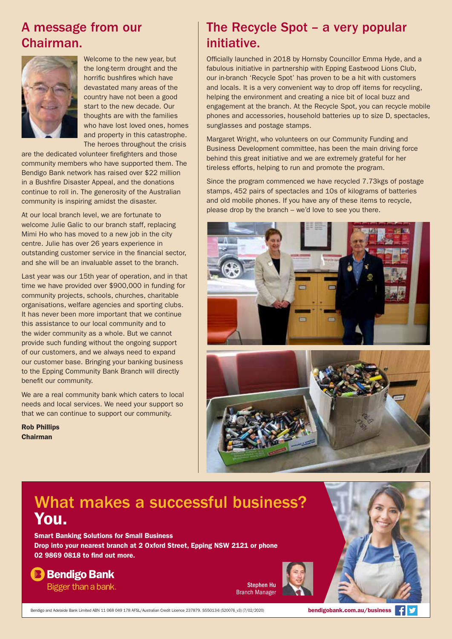## A message from our Chairman.



Welcome to the new year, but the long-term drought and the horrific bushfires which have devastated many areas of the country have not been a good start to the new decade. Our thoughts are with the families who have lost loved ones, homes and property in this catastrophe. The heroes throughout the crisis

are the dedicated volunteer firefighters and those community members who have supported them. The Bendigo Bank network has raised over \$22 million in a Bushfire Disaster Appeal, and the donations continue to roll in. The generosity of the Australian community is inspiring amidst the disaster.

At our local branch level, we are fortunate to welcome Julie Galic to our branch staff, replacing Mimi Ho who has moved to a new job in the city centre. Julie has over 26 years experience in outstanding customer service in the financial sector, and she will be an invaluable asset to the branch.

Last year was our 15th year of operation, and in that time we have provided over \$900,000 in funding for community projects, schools, churches, charitable organisations, welfare agencies and sporting clubs. It has never been more important that we continue this assistance to our local community and to the wider community as a whole. But we cannot provide such funding without the ongoing support of our customers, and we always need to expand our customer base. Bringing your banking business to the Epping Community Bank Branch will directly benefit our community.

We are a real community bank which caters to local needs and local services. We need your support so that we can continue to support our community.

Rob Phillips Chairman

## The Recycle Spot – a very popular initiative.

Officially launched in 2018 by Hornsby Councillor Emma Hyde, and a fabulous initiative in partnership with Epping Eastwood Lions Club, our in-branch 'Recycle Spot' has proven to be a hit with customers and locals. It is a very convenient way to drop off items for recycling, helping the environment and creating a nice bit of local buzz and engagement at the branch. At the Recycle Spot, you can recycle mobile phones and accessories, household batteries up to size D, spectacles, sunglasses and postage stamps.

Margaret Wright, who volunteers on our Community Funding and Business Development committee, has been the main driving force behind this great initiative and we are extremely grateful for her tireless efforts, helping to run and promote the program.

Since the program commenced we have recycled 7.73kgs of postage stamps, 452 pairs of spectacles and 10s of kilograms of batteries and old mobile phones. If you have any of these items to recycle, please drop by the branch – we'd love to see you there.





## What makes a successful business? You.

Smart Banking Solutions for Small Business Drop into your nearest branch at 2 Oxford Street, Epping NSW 2121 or phone 02 9869 0818 to find out more.

## **B** Bendigo Bank

Bigger than a bank.

Stephen Hu Branch Manager

Bendigo and Adelaide Bank Limited ABN 11 068 049 178 AFSL/Australian Credit Licence 237879. S55013-6 (520076\_v3) (7/02/2020)

bendigobank.com.au/business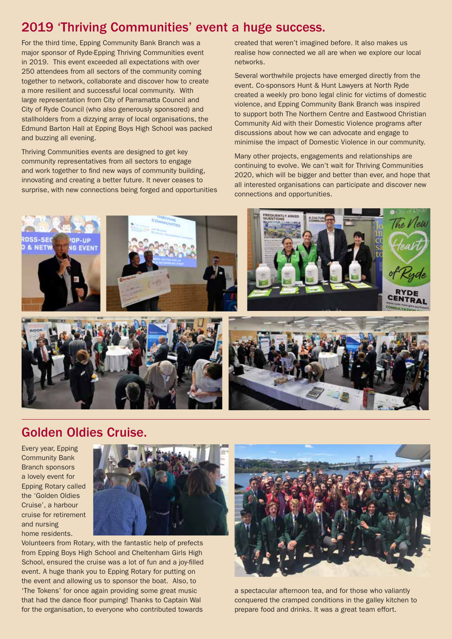## 2019 'Thriving Communities' event a huge success.

For the third time, Epping Community Bank Branch was a major sponsor of Ryde-Epping Thriving Communities event in 2019. This event exceeded all expectations with over 250 attendees from all sectors of the community coming together to network, collaborate and discover how to create a more resilient and successful local community. With large representation from City of Parramatta Council and City of Ryde Council (who also generously sponsored) and stallholders from a dizzying array of local organisations, the Edmund Barton Hall at Epping Boys High School was packed and buzzing all evening.

Thriving Communities events are designed to get key community representatives from all sectors to engage and work together to find new ways of community building, innovating and creating a better future. It never ceases to surprise, with new connections being forged and opportunities created that weren't imagined before. It also makes us realise how connected we all are when we explore our local networks.

Several worthwhile projects have emerged directly from the event. Co-sponsors Hunt & Hunt Lawyers at North Ryde created a weekly pro bono legal clinic for victims of domestic violence, and Epping Community Bank Branch was inspired to support both The Northern Centre and Eastwood Christian Community Aid with their Domestic Violence programs after discussions about how we can advocate and engage to minimise the impact of Domestic Violence in our community.

Many other projects, engagements and relationships are continuing to evolve. We can't wait for Thriving Communities 2020, which will be bigger and better than ever, and hope that all interested organisations can participate and discover new connections and opportunities.



## Golden Oldies Cruise.

Every year, Epping Community Bank Branch sponsors a lovely event for Epping Rotary called the 'Golden Oldies Cruise', a harbour cruise for retirement and nursing home residents.



Volunteers from Rotary, with the fantastic help of prefects from Epping Boys High School and Cheltenham Girls High School, ensured the cruise was a lot of fun and a joy-filled event. A huge thank you to Epping Rotary for putting on the event and allowing us to sponsor the boat. Also, to 'The Tokens' for once again providing some great music that had the dance floor pumping! Thanks to Captain Wal for the organisation, to everyone who contributed towards



a spectacular afternoon tea, and for those who valiantly conquered the cramped conditions in the galley kitchen to prepare food and drinks. It was a great team effort.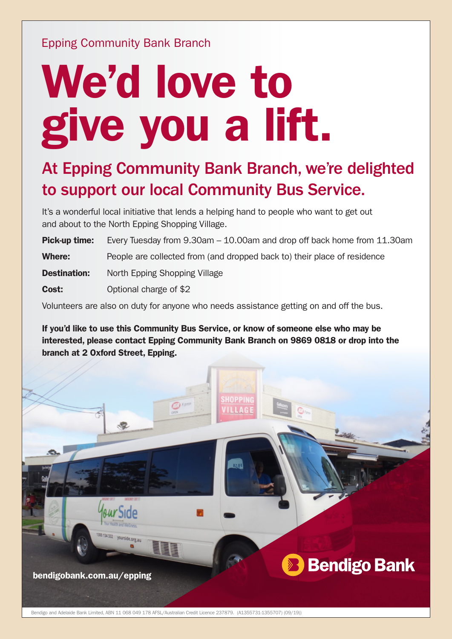## Epping Community Bank Branch

# We'd love to give you a lift.

## At Epping Community Bank Branch, we're delighted to support our local Community Bus Service.

It's a wonderful local initiative that lends a helping hand to people who want to get out and about to the North Epping Shopping Village.

**Pick-up time:** Every Tuesday from 9.30am – 10.00am and drop off back home from 11.30am Where: People are collected from (and dropped back to) their place of residence **Destination:** North Epping Shopping Village **Cost:** Optional charge of \$2

Volunteers are also on duty for anyone who needs assistance getting on and off the bus.

If you'd like to use this Community Bus Service, or know of someone else who may be interested, please contact Epping Community Bank Branch on 9869 0818 or drop into the branch at 2 Oxford Street, Epping.



Bendigo and Adelaide Bank Limited, ABN 11 068 049 178 AFSL/Australian Credit Licence 237879. (A1355731-1355707) (09/19))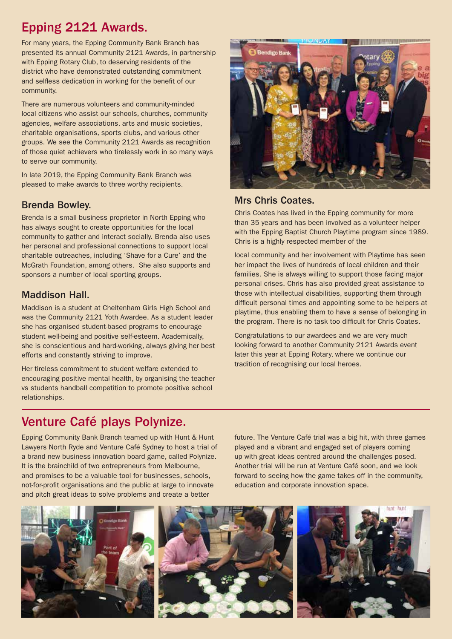## Epping 2121 Awards.

For many years, the Epping Community Bank Branch has presented its annual Community 2121 Awards, in partnership with Epping Rotary Club, to deserving residents of the district who have demonstrated outstanding commitment and selfless dedication in working for the benefit of our community.

There are numerous volunteers and community-minded local citizens who assist our schools, churches, community agencies, welfare associations, arts and music societies, charitable organisations, sports clubs, and various other groups. We see the Community 2121 Awards as recognition of those quiet achievers who tirelessly work in so many ways to serve our community.

In late 2019, the Epping Community Bank Branch was pleased to make awards to three worthy recipients.

#### Brenda Bowley.

Brenda is a small business proprietor in North Epping who has always sought to create opportunities for the local community to gather and interact socially. Brenda also uses her personal and professional connections to support local charitable outreaches, including 'Shave for a Cure' and the McGrath Foundation, among others. She also supports and sponsors a number of local sporting groups.

#### Maddison Hall.

Maddison is a student at Cheltenham Girls High School and was the Community 2121 Yoth Awardee. As a student leader she has organised student-based programs to encourage student well-being and positive self-esteem. Academically, she is conscientious and hard-working, always giving her best efforts and constantly striving to improve.

Her tireless commitment to student welfare extended to encouraging positive mental health, by organising the teacher vs students handball competition to promote positive school relationships.



#### Mrs Chris Coates.

Chris Coates has lived in the Epping community for more than 35 years and has been involved as a volunteer helper with the Epping Baptist Church Playtime program since 1989. Chris is a highly respected member of the

local community and her involvement with Playtime has seen her impact the lives of hundreds of local children and their families. She is always willing to support those facing major personal crises. Chris has also provided great assistance to those with intellectual disabilities, supporting them through difficult personal times and appointing some to be helpers at playtime, thus enabling them to have a sense of belonging in the program. There is no task too difficult for Chris Coates.

Congratulations to our awardees and we are very much looking forward to another Community 2121 Awards event later this year at Epping Rotary, where we continue our tradition of recognising our local heroes.

## Venture Café plays Polynize.

Epping Community Bank Branch teamed up with Hunt & Hunt Lawyers North Ryde and Venture Café Sydney to host a trial of a brand new business innovation board game, called Polynize. It is the brainchild of two entrepreneurs from Melbourne, and promises to be a valuable tool for businesses, schools, not-for-profit organisations and the public at large to innovate and pitch great ideas to solve problems and create a better

future. The Venture Café trial was a big hit, with three games played and a vibrant and engaged set of players coming up with great ideas centred around the challenges posed. Another trial will be run at Venture Café soon, and we look forward to seeing how the game takes off in the community, education and corporate innovation space.

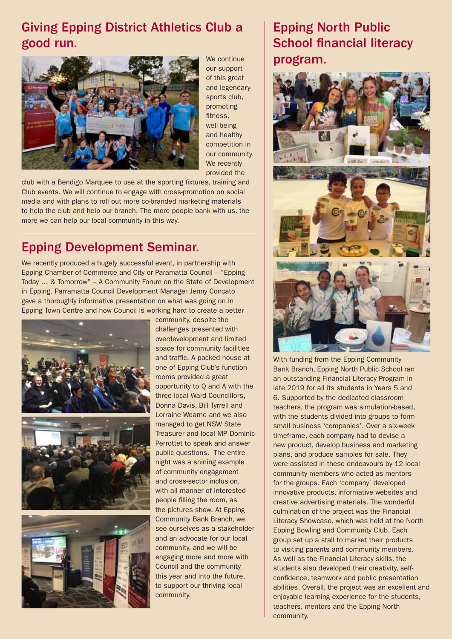## Giving Epping District Athletics Club a good run.



We continue our support of this great and legendary sports club, promoting fitness, well-being and healthy competition in our community. We recently provided the

club with a Bendigo Marquee to use at the sporting fixtures, training and Club events. We will continue to engage with cross-promotion on social media and with plans to roll out more co-branded marketing materials to help the club and help our branch. The more people bank with us, the more we can help our local community in this way.

## Epping Development Seminar.

We recently produced a hugely successful event, in partnership with Epping Chamber of Commerce and City or Paramatta Council – "Epping Today … & Tomorrow" – A Community Forum on the State of Development in Epping. Parramatta Council Development Manager Jenny Concato gave a thoroughly informative presentation on what was going on in Epping Town Centre and how Council is working hard to create a better







community, despite the challenges presented with overdevelopment and limited space for community facilities and traffic. A packed house at one of Epping Club's function rooms provided a great opportunity to Q and A with the three local Ward Councillors, Donna Davis, Bill Tyrrell and Lorraine Wearne and we also managed to get NSW State Treasurer and local MP Dominic Perrottet to speak and answer public questions. The entire night was a shining example of community engagement and cross-sector inclusion, with all manner of interested people filling the room, as the pictures show. At Epping Community Bank Branch, we see ourselves as a stakeholder and an advocate for our local community, and we will be engaging more and more with Council and the community this year and into the future, to support our thriving local community.

## Epping North Public School financial literacy program.



With funding from the Epping Community Bank Branch, Epping North Public School ran an outstanding Financial Literacy Program in late 2019 for all its students in Years 5 and 6. Supported by the dedicated classroom teachers, the program was simulation-based, with the students divided into groups to form small business 'companies'. Over a six-week timeframe, each company had to devise a new product, develop business and marketing plans, and produce samples for sale. They were assisted in these endeavours by 12 local community members who acted as mentors for the groups. Each 'company' developed innovative products, informative websites and creative advertising materials. The wonderful culmination of the project was the Financial Literacy Showcase, which was held at the North Epping Bowling and Community Club. Each group set up a stall to market their products to visiting parents and community members. As well as the Financial Literacy skills, the students also developed their creativity, selfconfidence, teamwork and public presentation abilities. Overall, the project was an excellent and enjoyable learning experience for the students, teachers, mentors and the Epping North community.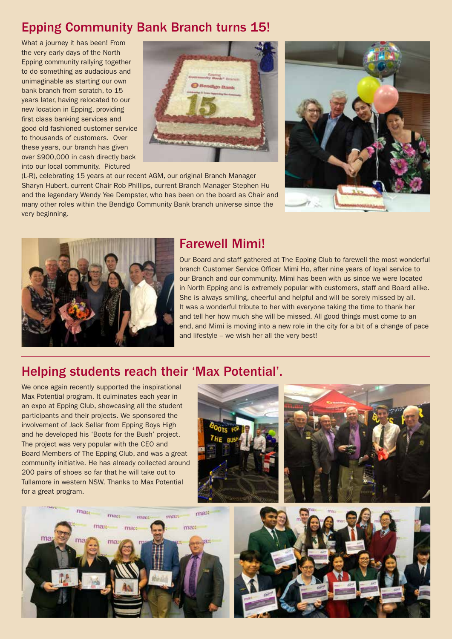## Epping Community Bank Branch turns 15!

What a journey it has been! From the very early days of the North Epping community rallying together to do something as audacious and unimaginable as starting our own bank branch from scratch, to 15 years later, having relocated to our new location in Epping, providing first class banking services and good old fashioned customer service to thousands of customers. Over these years, our branch has given over \$900,000 in cash directly back into our local community. Pictured



(L-R), celebrating 15 years at our recent AGM, our original Branch Manager Sharyn Hubert, current Chair Rob Phillips, current Branch Manager Stephen Hu and the legendary Wendy Yee Dempster, who has been on the board as Chair and many other roles within the Bendigo Community Bank branch universe since the very beginning.





### Farewell Mimi!

Our Board and staff gathered at The Epping Club to farewell the most wonderful branch Customer Service Officer Mimi Ho, after nine years of loyal service to our Branch and our community. Mimi has been with us since we were located in North Epping and is extremely popular with customers, staff and Board alike. She is always smiling, cheerful and helpful and will be sorely missed by all. It was a wonderful tribute to her with everyone taking the time to thank her and tell her how much she will be missed. All good things must come to an end, and Mimi is moving into a new role in the city for a bit of a change of pace and lifestyle – we wish her all the very best!

### Helping students reach their 'Max Potential'.

We once again recently supported the inspirational Max Potential program. It culminates each year in an expo at Epping Club, showcasing all the student participants and their projects. We sponsored the involvement of Jack Sellar from Epping Boys High and he developed his 'Boots for the Bush' project. The project was very popular with the CEO and Board Members of The Epping Club, and was a great community initiative. He has already collected around 200 pairs of shoes so far that he will take out to Tullamore in western NSW. Thanks to Max Potential for a great program.